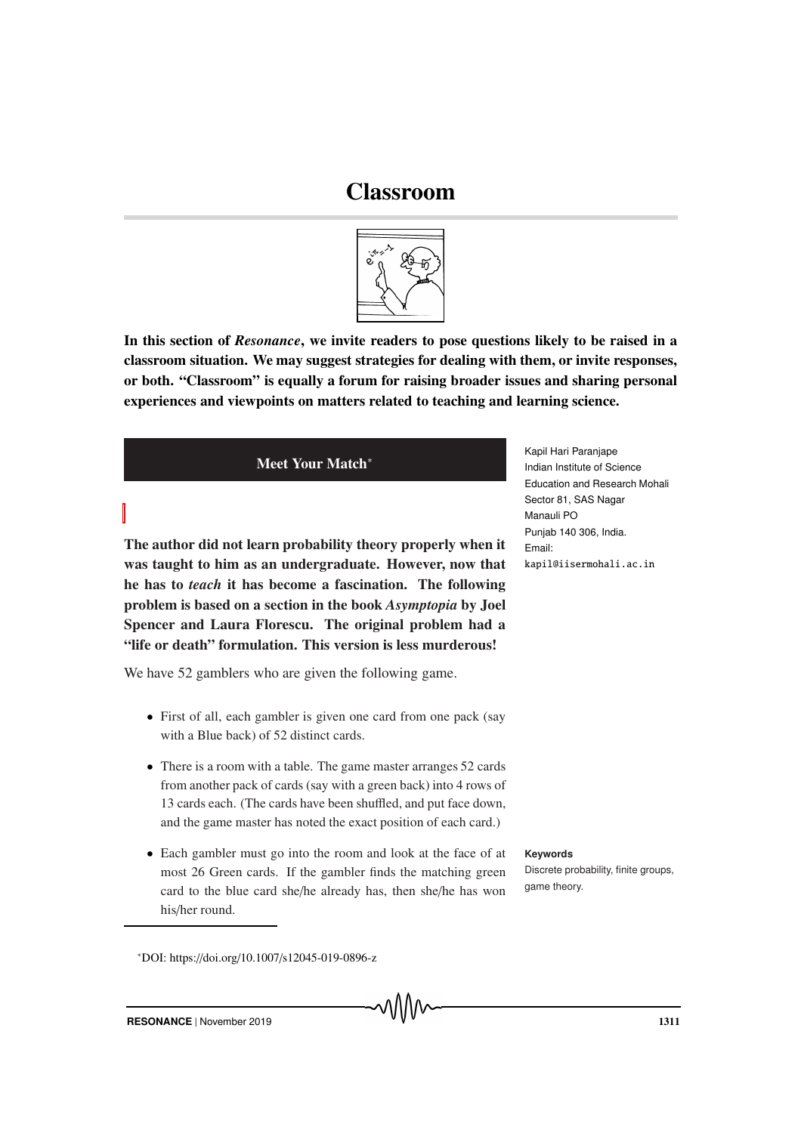## Classroom



In this section of *Resonance*, we invite readers to pose questions likely to be raised in a classroom situation. We may suggest strategies for dealing with them, or invite responses, or both. "Classroom" is equally a forum for raising broader issues and sharing personal experiences and viewpoints on matters related to teaching and learning science.



The author did not learn probability theory properly when it was taught to him as an undergraduate. However, now that he has to *teach* it has become a fascination. The following problem is based on a section in the book *Asymptopia* by Joel Spencer and Laura Florescu. The original problem had a "life or death" formulation. This version is less murderous!

We have 52 gamblers who are given the following game.

- First of all, each gambler is given one card from one pack (say with a Blue back) of 52 distinct cards.
- There is a room with a table. The game master arranges 52 cards from another pack of cards (say with a green back) into 4 rows of 13 cards each. (The cards have been shuffled, and put face down, and the game master has noted the exact position of each card.)
- Each gambler must go into the room and look at the face of at **Keywords** most 26 Green cards. If the gambler finds the matching green card to the blue card she/he already has, then she/he has won his/her round.

Discrete probability, finite groups, game theory.

<sup>∗</sup>DOI: https://doi.org/10.1007/s12045-019-0896-z

Kapil Hari Paranjape Indian Institute of Science Education and Research Mohali Sector 81, SAS Nagar Manauli PO Punjab 140 306, India. Email: kapil@iisermohali.ac.in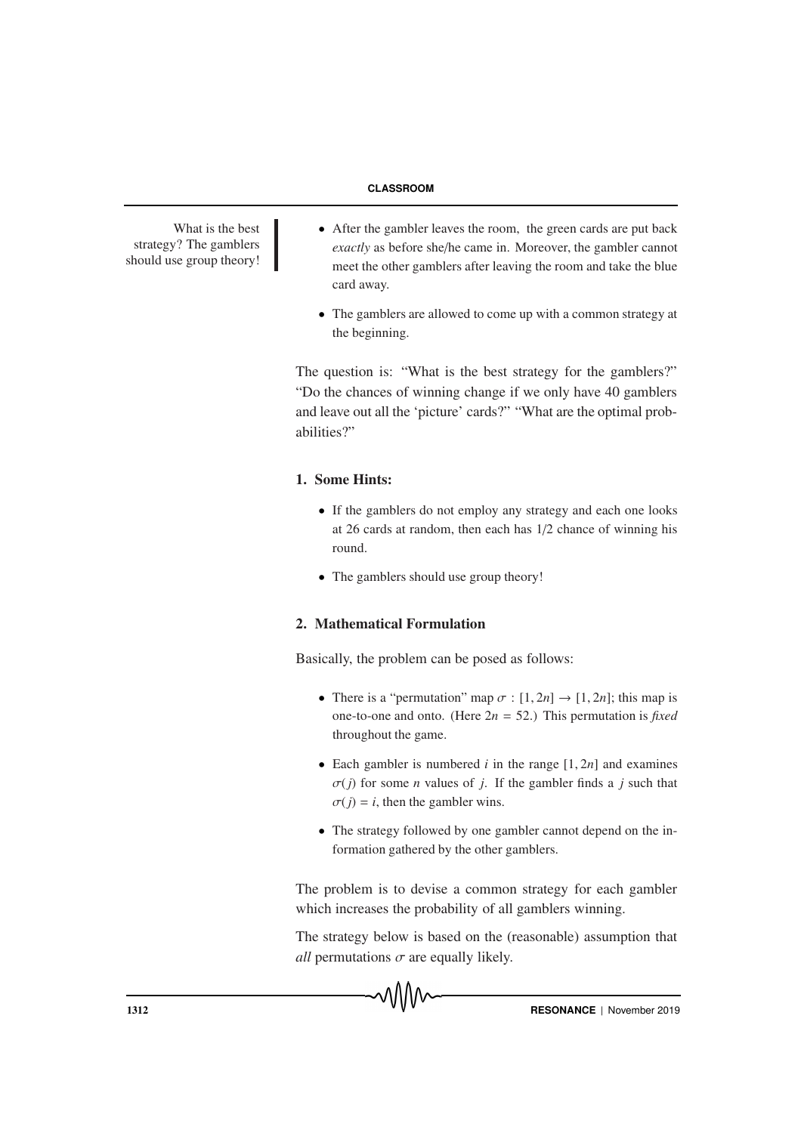strategy? The gamblers should use group theory!

- What is the best After the gambler leaves the room, the green cards are put back *exactly* as before she/he came in. Moreover, the gambler cannot meet the other gamblers after leaving the room and take the blue card away.
	- The gamblers are allowed to come up with a common strategy at the beginning.

The question is: "What is the best strategy for the gamblers?" "Do the chances of winning change if we only have 40 gamblers and leave out all the 'picture' cards?" "What are the optimal probabilities?"

## 1. Some Hints:

- If the gamblers do not employ any strategy and each one looks at 26 cards at random, then each has 1/2 chance of winning his round.
- The gamblers should use group theory!

## 2. Mathematical Formulation

Basically, the problem can be posed as follows:

- There is a "permutation" map  $\sigma$  :  $[1, 2n] \rightarrow [1, 2n]$ ; this map is one-to-one and onto. (Here 2*n* = 52.) This permutation is *fixed* throughout the game.
- Each gambler is numbered  $i$  in the range  $[1, 2n]$  and examines  $\sigma(j)$  for some *n* values of *j*. If the gambler finds a *j* such that  $\sigma(j) = i$ , then the gambler wins.
- The strategy followed by one gambler cannot depend on the information gathered by the other gamblers.

The problem is to devise a common strategy for each gambler which increases the probability of all gamblers winning.

The strategy below is based on the (reasonable) assumption that *all* permutations  $\sigma$  are equally likely.

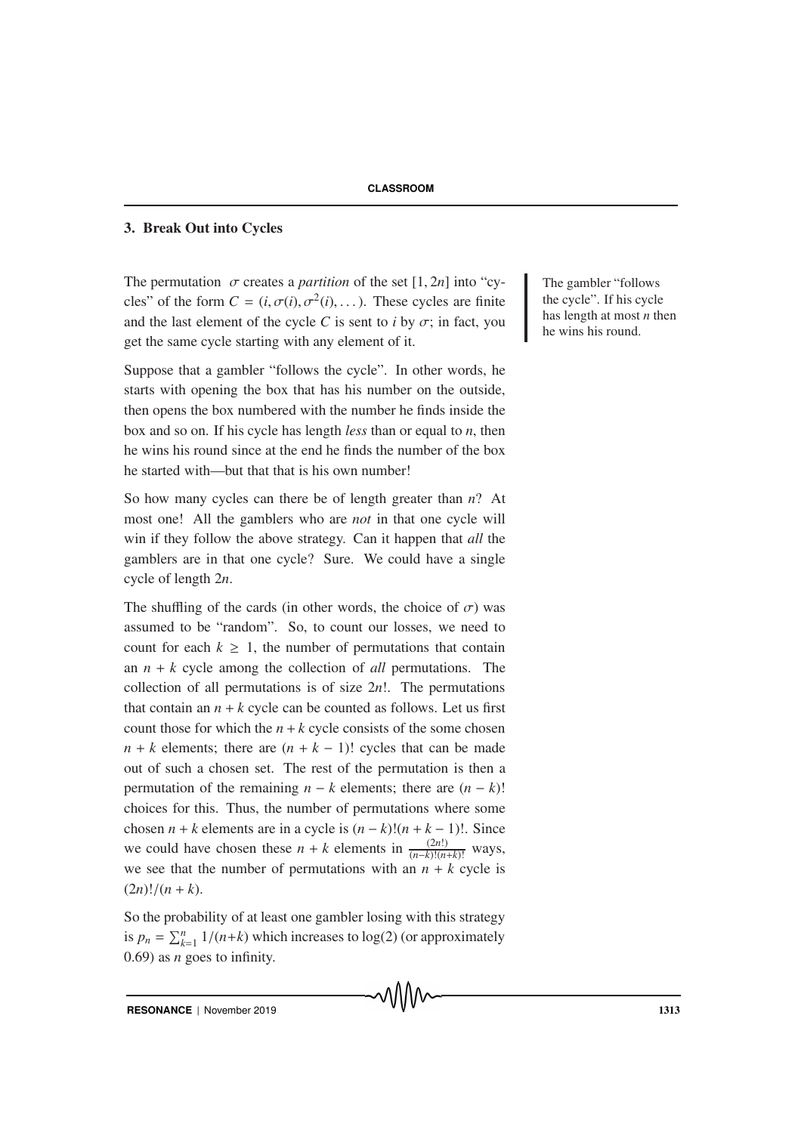## 3. Break Out into Cycles

The permutation  $\sigma$  creates a *partition* of the set [1, 2*n*] into "cy- The gambler "follows" cles" of the form  $C = (i, \sigma(i), \sigma^2(i), \ldots)$ . These cycles are finite and the last element of the cycle *C* is sent to *i* by  $\sigma$ ; in fact, you get the same cycle starting with any element of it.

Suppose that a gambler "follows the cycle". In other words, he starts with opening the box that has his number on the outside, then opens the box numbered with the number he finds inside the box and so on. If his cycle has length *less* than or equal to *n*, then he wins his round since at the end he finds the number of the box he started with—but that that is his own number!

So how many cycles can there be of length greater than *n*? At most one! All the gamblers who are *not* in that one cycle will win if they follow the above strategy. Can it happen that *all* the gamblers are in that one cycle? Sure. We could have a single cycle of length 2*n*.

The shuffling of the cards (in other words, the choice of  $\sigma$ ) was assumed to be "random". So, to count our losses, we need to count for each  $k \geq 1$ , the number of permutations that contain an  $n + k$  cycle among the collection of *all* permutations. The collection of all permutations is of size 2*n*!. The permutations that contain an  $n + k$  cycle can be counted as follows. Let us first count those for which the  $n + k$  cycle consists of the some chosen  $n + k$  elements; there are  $(n + k - 1)!$  cycles that can be made out of such a chosen set. The rest of the permutation is then a permutation of the remaining  $n - k$  elements; there are  $(n - k)!$ choices for this. Thus, the number of permutations where some chosen  $n + k$  elements are in a cycle is  $(n - k)!(n + k - 1)!$ . Since we could have chosen these  $n + k$  elements in  $\frac{(2n!)}{(n-k)!(n+k)!}$  ways, we see that the number of permutations with an  $n + k$  cycle is  $(2n)!/(n+k).$ 

So the probability of at least one gambler losing with this strategy is  $p_n = \sum_{k=1}^n 1/(n+k)$  which increases to log(2) (or approximately 0.69) as *n* goes to infinity.

the cycle". If his cycle has length at most *n* then he wins his round.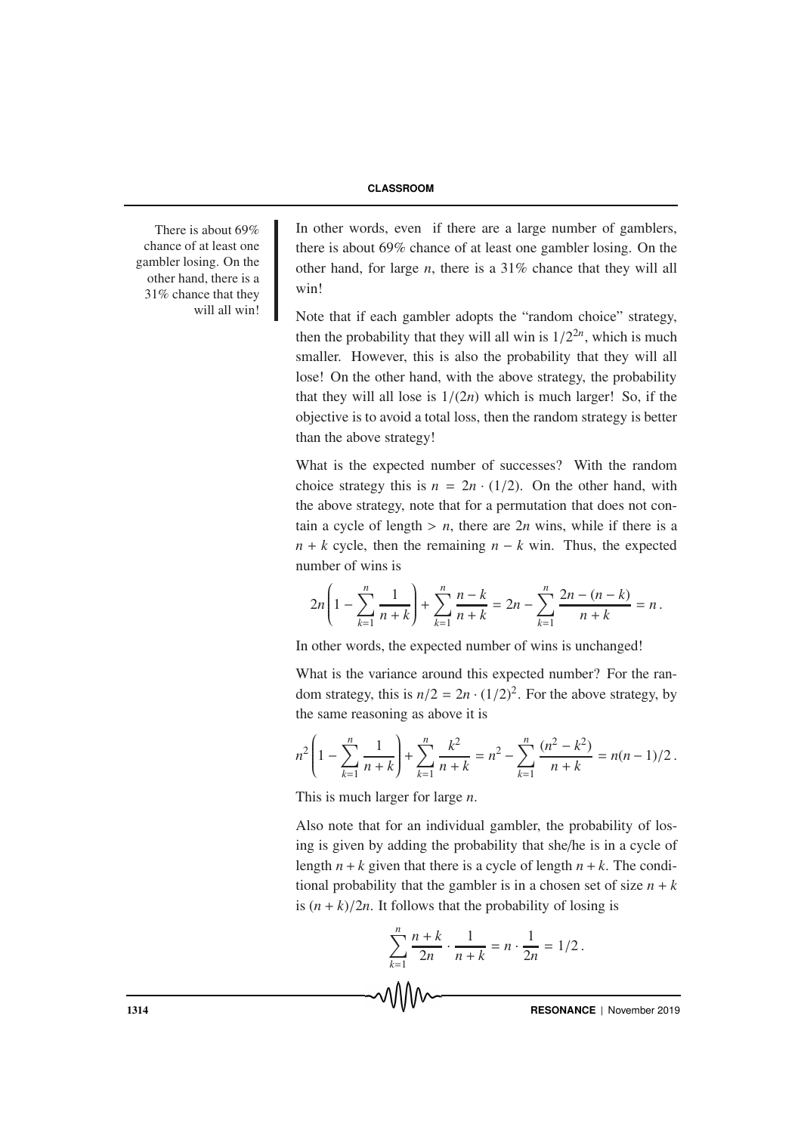chance of at least one gambler losing. On the other hand, there is a 31% chance that they will all win!

There is about 69% In other words, even if there are a large number of gamblers, there is about 69% chance of at least one gambler losing. On the other hand, for large *n*, there is a 31% chance that they will all win!

> Note that if each gambler adopts the "random choice" strategy, then the probability that they will all win is  $1/2^{2n}$ , which is much smaller. However, this is also the probability that they will all lose! On the other hand, with the above strategy, the probability that they will all lose is  $1/(2n)$  which is much larger! So, if the objective is to avoid a total loss, then the random strategy is better than the above strategy!

> What is the expected number of successes? With the random choice strategy this is  $n = 2n \cdot (1/2)$ . On the other hand, with the above strategy, note that for a permutation that does not contain a cycle of length  $> n$ , there are  $2n$  wins, while if there is a  $n + k$  cycle, then the remaining  $n - k$  win. Thus, the expected number of wins is

$$
2n\left(1-\sum_{k=1}^n\frac{1}{n+k}\right)+\sum_{k=1}^n\frac{n-k}{n+k}=2n-\sum_{k=1}^n\frac{2n-(n-k)}{n+k}=n.
$$

In other words, the expected number of wins is unchanged!

What is the variance around this expected number? For the random strategy, this is  $n/2 = 2n \cdot (1/2)^2$ . For the above strategy, by the same reasoning as above it is

$$
n^{2}\left(1-\sum_{k=1}^{n}\frac{1}{n+k}\right)+\sum_{k=1}^{n}\frac{k^{2}}{n+k}=n^{2}-\sum_{k=1}^{n}\frac{(n^{2}-k^{2})}{n+k}=n(n-1)/2.
$$

This is much larger for large *n*.

Also note that for an individual gambler, the probability of losing is given by adding the probability that she/he is in a cycle of length  $n + k$  given that there is a cycle of length  $n + k$ . The conditional probability that the gambler is in a chosen set of size  $n + k$ is  $(n + k)/2n$ . It follows that the probability of losing is

$$
\sum_{k=1}^{n} \frac{n+k}{2n} \cdot \frac{1}{n+k} = n \cdot \frac{1}{2n} = 1/2.
$$